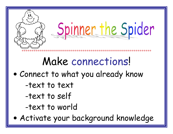

### Make connections!

- Connect to what you already know
	- -text to text
	- -text to self
	- -text to world

· Activate your background knowledge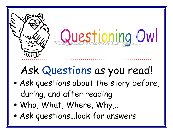

### Ask Questions as you read!

- Ask questions about the story before, during, and after reading
- . Who, What, Where, Why,...
- Ask questions...look for answers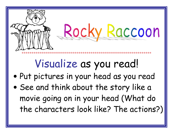

- · Put pictures in your head as you read
- . See and think about the story like a movie going on in your head (What do the characters look like? The actions?)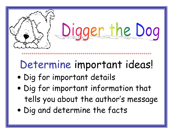

\*\*\*\*\*\*\*\*\*\*\*\*\*\*

### Determine important ideas!

- · Dig for important details
- . Dig for important information that tells you about the author's message
- Dig and determine the facts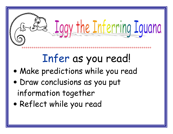# Iggy the Inferring Iguana

## Infer as you read!

- Make predictions while you read
- · Draw conclusions as you put information together
- Reflect while you read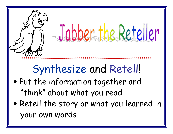

- . Put the information together and "think" about what you read
- Retell the story or what you learned in your own words